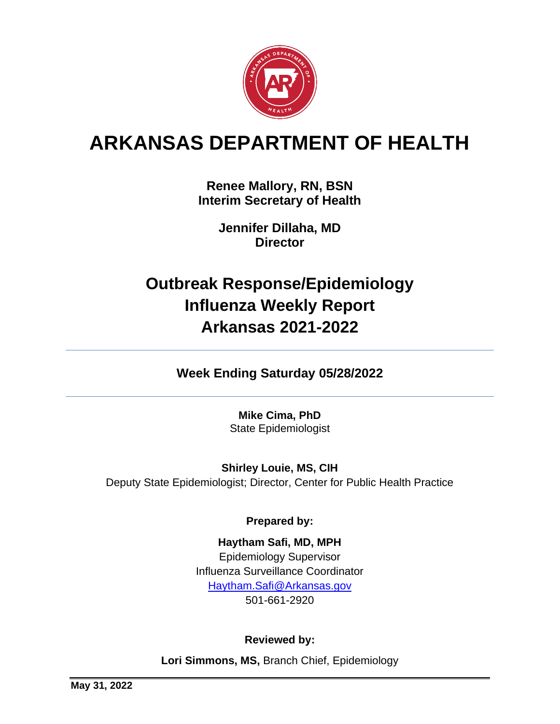

# **ARKANSAS DEPARTMENT OF HEALTH**

**Renee Mallory, RN, BSN Interim Secretary of Health**

> **Jennifer Dillaha, MD Director**

# **Outbreak Response/Epidemiology Influenza Weekly Report Arkansas 2021-2022**

**Week Ending Saturday 05/28/2022**

**Mike Cima, PhD**  State Epidemiologist

**Shirley Louie, MS, CIH** Deputy State Epidemiologist; Director, Center for Public Health Practice

**Prepared by:**

**Haytham Safi, MD, MPH**  Epidemiology Supervisor Influenza Surveillance Coordinator [Haytham.Safi@Arkansas.gov](mailto:Haytham.Safi@Arkansas.gov) 501-661-2920

## **Reviewed by:**

**Lori Simmons, MS,** Branch Chief, Epidemiology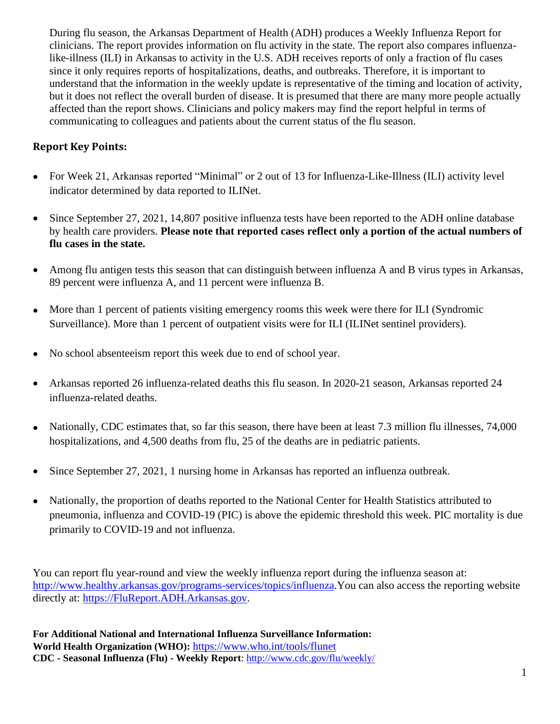During flu season, the Arkansas Department of Health (ADH) produces a Weekly Influenza Report for clinicians. The report provides information on flu activity in the state. The report also compares influenzalike-illness (ILI) in Arkansas to activity in the U.S. ADH receives reports of only a fraction of flu cases since it only requires reports of hospitalizations, deaths, and outbreaks. Therefore, it is important to understand that the information in the weekly update is representative of the timing and location of activity, but it does not reflect the overall burden of disease. It is presumed that there are many more people actually affected than the report shows. Clinicians and policy makers may find the report helpful in terms of communicating to colleagues and patients about the current status of the flu season.

### **Report Key Points:**

- For Week 21, Arkansas reported "Minimal" or 2 out of 13 for Influenza-Like-Illness (ILI) activity level indicator determined by data reported to ILINet.
- Since September 27, 2021, 14,807 positive influenza tests have been reported to the ADH online database by health care providers. **Please note that reported cases reflect only a portion of the actual numbers of flu cases in the state.**
- Among flu antigen tests this season that can distinguish between influenza A and B virus types in Arkansas, 89 percent were influenza A, and 11 percent were influenza B.
- More than 1 percent of patients visiting emergency rooms this week were there for ILI (Syndromic Surveillance). More than 1 percent of outpatient visits were for ILI (ILINet sentinel providers).
- No school absenteeism report this week due to end of school year.
- Arkansas reported 26 influenza-related deaths this flu season. In 2020-21 season, Arkansas reported 24 influenza-related deaths.
- Nationally, CDC estimates that, so far this season, there have been at least 7.3 million flu illnesses, 74,000 hospitalizations, and 4,500 deaths from flu, 25 of the deaths are in pediatric patients.
- Since September 27, 2021, 1 nursing home in Arkansas has reported an influenza outbreak.
- Nationally, the proportion of deaths reported to the National Center for Health Statistics attributed to pneumonia, influenza and COVID-19 (PIC) is above the epidemic threshold this week. PIC mortality is due primarily to COVID-19 and not influenza.

You can report flu year-round and view the weekly influenza report during the influenza season at: [http://www.healthy.arkansas.gov/programs-services/topics/influenza.](http://www.healthy.arkansas.gov/programs-services/topics/influenza)You can also access the reporting website directly at: [https://FluReport.ADH.Arkansas.gov.](https://flureport.adh.arkansas.gov/)

**For Additional National and International Influenza Surveillance Information: World Health Organization (WHO):** <https://www.who.int/tools/flunet> **CDC - Seasonal Influenza (Flu) - Weekly Report**:<http://www.cdc.gov/flu/weekly/>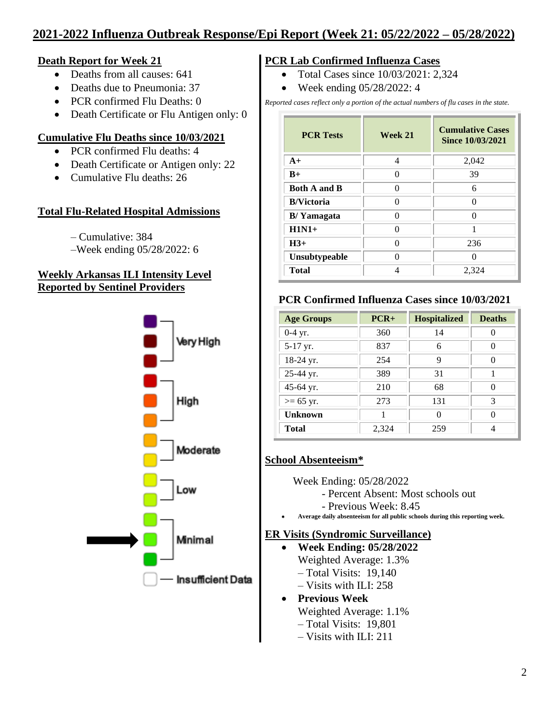# **2021-2022 Influenza Outbreak Response/Epi Report (Week 21: 05/22/2022 – 05/28/2022)**

#### **Death Report for Week 21**

- Deaths from all causes: 641
- Deaths due to Pneumonia: 37
- PCR confirmed Flu Deaths: 0
- Death Certificate or Flu Antigen only: 0

#### **Cumulative Flu Deaths since 10/03/2021**

- PCR confirmed Flu deaths: 4
- Death Certificate or Antigen only: 22
- Cumulative Flu deaths: 26

#### **Total Flu-Related Hospital Admissions**

– Cumulative: 384

–Week ending 05/28/2022: 6

#### **Weekly Arkansas ILI Intensity Level Reported by Sentinel Providers**



#### **PCR Lab Confirmed Influenza Cases**

- Total Cases since 10/03/2021: 2,324
- Week ending 05/28/2022: 4

*Reported cases reflect only a portion of the actual numbers of flu cases in the state.*

| <b>PCR Tests</b>    | Week 21 | <b>Cumulative Cases</b><br>Since 10/03/2021 |  |
|---------------------|---------|---------------------------------------------|--|
| $A+$                | 4       | 2,042                                       |  |
| $B+$                | 0       | 39                                          |  |
| <b>Both A and B</b> | 0       | 6                                           |  |
| <b>B/Victoria</b>   | 0       | ∩                                           |  |
| <b>B</b> /Yamagata  | 0       | ∩                                           |  |
| $H1N1+$             | ∩       |                                             |  |
| $H3+$               | ∩       | 236                                         |  |
| Unsubtypeable       | 0       |                                             |  |
| <b>Total</b>        | Δ       | 2,324                                       |  |

#### **PCR Confirmed Influenza Cases since 10/03/2021**

| <b>Age Groups</b> | $PCR+$ | <b>Hospitalized</b> | <b>Deaths</b> |
|-------------------|--------|---------------------|---------------|
| $0-4$ yr.         | 360    | 14                  |               |
| 5-17 yr.          | 837    | 6                   | $\cup$        |
| 18-24 yr.         | 254    | 9                   | ∩             |
| 25-44 yr.         | 389    | 31                  |               |
| 45-64 yr.         | 210    | 68                  | ∩             |
| $>= 65$ yr.       | 273    | 131                 | 3             |
| <b>Unknown</b>    |        | O                   |               |
| <b>Total</b>      | 2,324  | 259                 | Δ             |

#### **School Absenteeism\***

- Week Ending: 05/28/2022
	- Percent Absent: Most schools out
	- Previous Week: 8.45
- **Average daily absenteeism for all public schools during this reporting week.**

#### **ER Visits (Syndromic Surveillance)**

- **Week Ending: 05/28/2022** Weighted Average: 1.3% – Total Visits: 19,140
	- Visits with ILI: 258

#### • **Previous Week** Weighted Average: 1.1%

- Total Visits: 19,801
- Visits with ILI: 211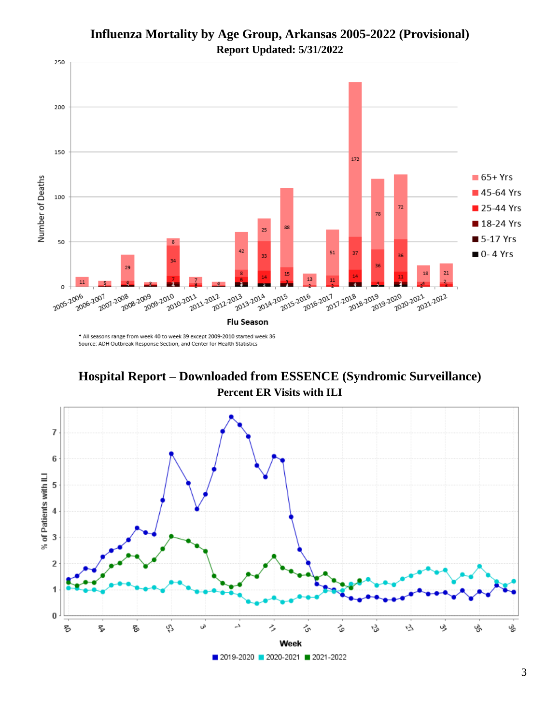

## **Influenza Mortality by Age Group, Arkansas 2005-2022 (Provisional) Report Updated: 5/31/2022**

\* All seasons range from week 40 to week 39 except 2009-2010 started week 36 Source: ADH Outbreak Response Section, and Center for Health Statistics

**Hospital Report – Downloaded from ESSENCE (Syndromic Surveillance) Percent ER Visits with ILI**

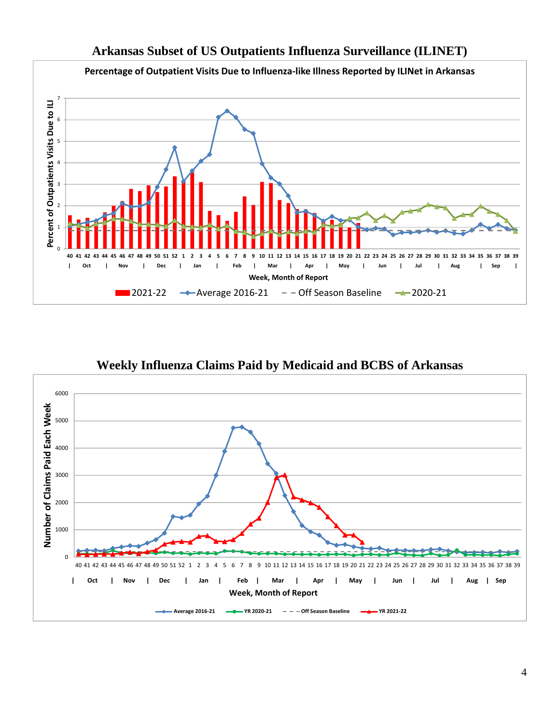

## **Weekly Influenza Claims Paid by Medicaid and BCBS of Arkansas**

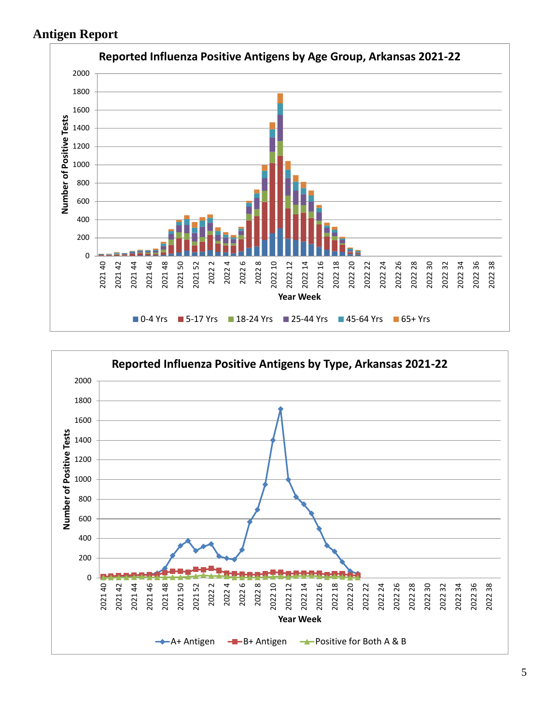## **Antigen Report**



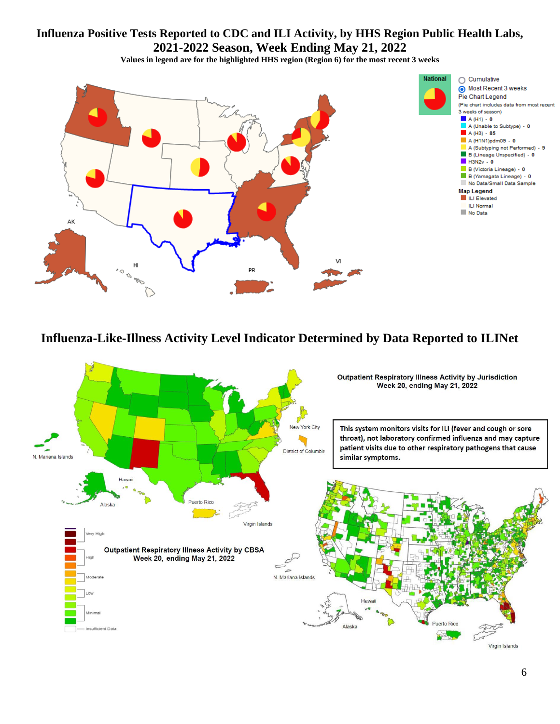## **Influenza Positive Tests Reported to CDC and ILI Activity, by HHS Region Public Health Labs, 2021-2022 Season, Week Ending May 21, 2022**

**Values in legend are for the highlighted HHS region (Region 6) for the most recent 3 weeks**



## **Influenza-Like-Illness Activity Level Indicator Determined by Data Reported to ILINet**

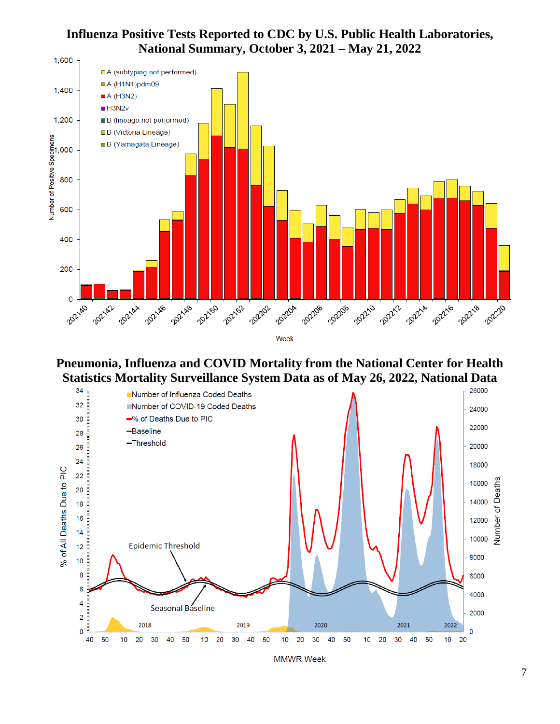### **Influenza Positive Tests Reported to CDC by U.S. Public Health Laboratories, National Summary, October 3, 2021 – May 21, 2022**



**Pneumonia, Influenza and COVID Mortality from the National Center for Health Statistics Mortality Surveillance System Data as of May 26, 2022, National Data**



**MMWR Week**